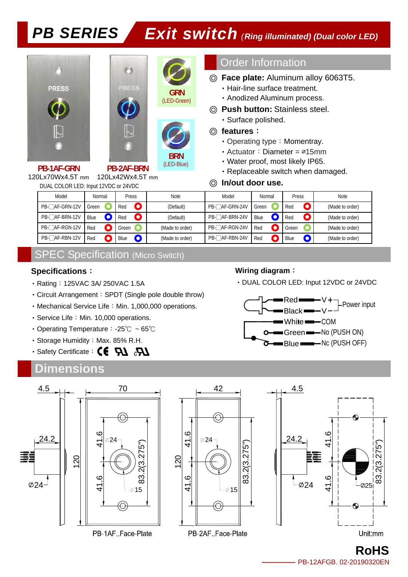





(LED-Green)



**BRN**  (LED-Blue)

DUAL COLOR LED: Input 12VDC or 24VDC **PB-1AF-GRN**  120Lx70Wx4.5T mm **PB-2AF-BRN**  120Lx42Wx4.5T mm

### Order Information

- ◎ **Face plate:** Aluminum alloy 6063T5.
	- ‧Hair-line surface treatment.
	- ‧Anodized Aluminum process.
- ◎ **Push button:** Stainless steel.
	- ‧Surface polished.

#### ◎ **features**:

- Operating type: Momentray.
- ‧Actuator:Diameter = ∅15mm
- ‧Water proof, most likely IP65.
- ‧Replaceable switch when damaged.

#### ◎ **In/out door use.**

| Model          | Normal | Press |           | <b>Note</b>     | Model          | Normal | Press | <b>Note</b>     |
|----------------|--------|-------|-----------|-----------------|----------------|--------|-------|-----------------|
| PB-□AF-GRN-12V | Green  | Red   | O         | (Default)       | PB-□AF-GRN-24V | Green  | Red   | (Made to order) |
| PB-□AF-BRN-12V | Blue   | Red   | $\bullet$ | (Default)       | PB-□AF-BRN-24V | Blue   | Red   | (Made to order) |
| PB-□AF-RGN-12V | Red    | Green |           | (Made to order) | PB-□AF-RGN-24V | Red    | Green | (Made to order) |
| PB-□AF-RBN-12V | Red    | Blue  | O         | (Made to order) | PB-□AF-RBN-24V | Red    | Blue  | (Made to order) |

## SPEC Specification (Micro Switch)

#### **Specifications**:

- ‧Rating:125VAC 3A/ 250VAC 1.5A
- ‧Circuit Arrangement:SPDT (Single pole double throw)
- Mechanical Service Life: Min. 1,000,000 operations.
- Service Life: Min. 10,000 operations.
- ‧Operating Temperature:-25℃ ~ 65℃
- Storage Humidity: Max. 85% R.H.
- $\cdot$  Safety Certificate:  $\mathsf{CE}$   $\mathsf{R\!I}$   $\mathsf{R\!I}$

## **Dimensions**

#### **Wiring diagram**:

‧DUAL COLOR LED: Input 12VDC or 24VDC





**RoHS**  PB-12AFGB. 02-20190320EN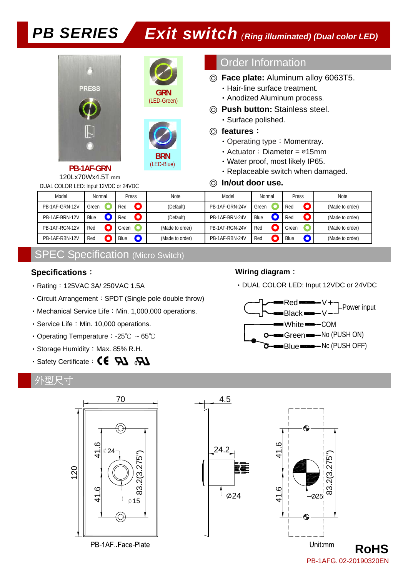



(LED-Green)



Order Information

- ◎ **Face plate:** Aluminum alloy 6063T5.
	- ‧Hair-line surface treatment.
	- ‧Anodized Aluminum process.
- ◎ **Push button:** Stainless steel. ‧Surface polished.

#### ◎ **features**:

◎ **In/out door use.** 

- Operating type: Momentray.
- ‧Actuator:Diameter = ∅15mm
- ‧Water proof, most likely IP65.
- ‧Replaceable switch when damaged.

DUAL COLOR LED: Input 12VDC or 24VDC 120Lx70Wx4.5T mm

| Model          | Normal | Press             | <b>Note</b>     | Model          | Normal | Press             | <b>Note</b>     |
|----------------|--------|-------------------|-----------------|----------------|--------|-------------------|-----------------|
| PB-1AF-GRN-12V | Green  | $\bullet$<br>Red  | (Default)       | PB-1AF-GRN-24V | Green  | $\bullet$<br>Red  | (Made to order) |
| PB-1AF-BRN-12V | Blue   | $\bullet$<br>Red  | (Default)       | PB-1AF-BRN-24V | Blue   | Ο<br>Red          | (Made to order) |
| PB-1AF-RGN-12V | Red    | Green             | (Made to order) | PB-1AF-RGN-24V | Red    | Green             | (Made to order) |
| PB-1AF-RBN-12V | Red    | Blue<br>$\bullet$ | (Made to order) | PB-1AF-RBN-24V | Red    | Blue<br>$\bullet$ | (Made to order) |

## SPEC Specification (Micro Switch)

#### **Specifications**:

- Rating: 125VAC 3A/ 250VAC 1.5A
- ‧Circuit Arrangement:SPDT (Single pole double throw)
- Mechanical Service Life: Min. 1,000,000 operations.
- Service Life: Min. 10,000 operations.
- ‧Operating Temperature:-25℃ ~ 65℃
- Storage Humidity: Max. 85% R.H.
- · Safety Certificate: CE 71 & D

### 外型尺寸



## **Wiring diagram**:



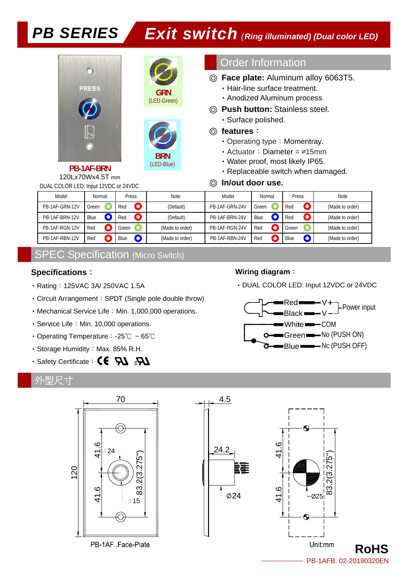



(LED-Green)



DUAL COLOR LED: Input 12VDC or 24VDC **PB-1AF-BRN**  120Lx70Wx4.5T mm

### Order Information

- ◎ **Face plate:** Aluminum alloy 6063T5.
	- ‧Hair-line surface treatment.
	- ‧Anodized Aluminum process.
- ◎ **Push button:** Stainless steel. ‧Surface polished.

#### ◎ **features**:

- Operating type: Momentray.
- ‧Actuator:Diameter = ∅15mm
- ‧Water proof, most likely IP65.
- ‧Replaceable switch when damaged.

#### ◎ **In/out door use.**

| Model          | Normal | Press            | <b>Note</b>     | Model          | Normal | Press            | <b>Note</b>     |
|----------------|--------|------------------|-----------------|----------------|--------|------------------|-----------------|
| PB-1AF-GRN-12V | Green  | Red<br>$\bullet$ | (Default)       | PB-1AF-GRN-24V | Green  | Red              | (Made to order) |
| PB-1AF-BRN-12V | Blue   | Red              | (Default)       | PB-1AF-BRN-24V | Blue   | $\bullet$<br>Red | (Made to order) |
| PB-1AF-RGN-12V | Red    | Green            | (Made to order) | PB-1AF-RGN-24V | Red    | Green            | (Made to order) |
| PB-1AF-RBN-12V | Red    | Blue             | (Made to order) | PB-1AF-RBN-24V | Red    | Blue             | (Made to order) |

## SPEC Specification (Micro Switch)

#### **Specifications**:

- Rating: 125VAC 3A/ 250VAC 1.5A
- ‧Circuit Arrangement:SPDT (Single pole double throw)
- Mechanical Service Life: Min. 1,000,000 operations.
- Service Life: Min. 10,000 operations.
- ‧Operating Temperature:-25℃ ~ 65℃
- Storage Humidity: Max. 85% R.H.
- · Safety Certificate: C€ PJ & P

#### 外型尺寸





#### **Wiring diagram**:



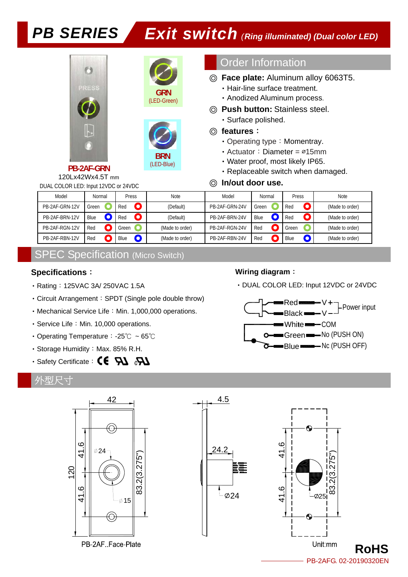



**BRN**  (LED-Blue)

#### Order Information

- ◎ **Face plate:** Aluminum alloy 6063T5.
	- ‧Hair-line surface treatment.
	- ‧Anodized Aluminum process.
- ◎ **Push button:** Stainless steel. ‧Surface polished.

#### ◎ **features**:

◎ **In/out door use.** 

- Operating type: Momentray.
- ‧Actuator:Diameter = ∅15mm
- ‧Water proof, most likely IP65.
- ‧Replaceable switch when damaged.

DUAL COLOR LED: Input 12VDC or 24VDC 120Lx42Wx4.5T mm

| Model          | Normal | Press             | <b>Note</b>     | Model          | Normal | Press             | <b>Note</b>     |
|----------------|--------|-------------------|-----------------|----------------|--------|-------------------|-----------------|
| PB-2AF-GRN-12V | Green  | $\bullet$<br>Red  | (Default)       | PB-2AF-GRN-24V | Green  | O<br>Red          | (Made to order) |
| PB-2AF-BRN-12V | Blue   | $\bullet$<br>Red  | (Default)       | PB-2AF-BRN-24V | Blue   | $\bullet$<br>Red  | (Made to order) |
| PB-2AF-RGN-12V | Red    | Green             | (Made to order) | PB-2AF-RGN-24V | Red    | Green             | (Made to order) |
| PB-2AF-RBN-12V | Red    | $\bullet$<br>Blue | (Made to order) | PB-2AF-RBN-24V | Red    | $\bullet$<br>Blue | (Made to order) |

### SPEC Specification (Micro Switch)

#### **Specifications**:

- Rating: 125VAC 3A/ 250VAC 1.5A
- ‧Circuit Arrangement:SPDT (Single pole double throw)
- Mechanical Service Life: Min. 1,000,000 operations.
- Service Life: Min. 10,000 operations.
- ‧Operating Temperature:-25℃ ~ 65℃
- Storage Humidity: Max. 85% R.H.
- · Safety Certificate: CE 71 & D

#### 外型尺寸



#### **Wiring diagram**: